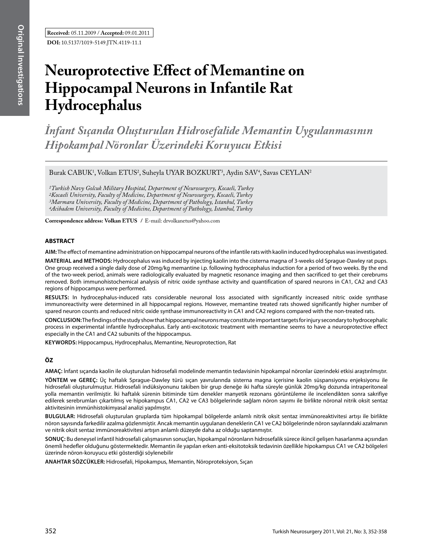# **Neuroprotective Effect of Memantine on Hippocampal Neurons in Infantile Rat Hydrocephalus**

*İnfant Sıçanda Oluşturulan Hidrosefalide Memantin Uygulanmasının Hipokampal Nöronlar Üzerindeki Koruyucu Etkisi*

Burak CABUK<sup>1</sup>, Volkan ETUS<sup>2</sup>, Suheyla UYAR BOZKURT<sup>3</sup>, Aydin SAV<sup>4</sup>, Savas CEYLAN<sup>2</sup>

*1Turkish Navy Golcuk Military Hospital, Department of Neurosurgery, Kocaeli, Turkey 2Kocaeli University, Faculty of Medicine, Department of Neurosurgery, Kocaeli, Turkey 3Marmara University, Faculty of Medicine, Department of Pathology, Istanbul, Turkey 4Acibadem University, Faculty of Medicine, Department of Pathology, Istanbul, Turkey*

**Correspondence address: Volkan ETUS /** E-mail: drvolkanetus@yahoo.com

## **ABSTRACT**

**AIm:** The effect of memantine administration on hippocampal neurons of the infantile rats with kaolin induced hydrocephalus was investigated.

**MaterIal and Methods:** Hydrocephalus was induced by injecting kaolin into the cisterna magna of 3-weeks old Sprague-Dawley rat pups. One group received a single daily dose of 20mg/kg memantine i.p. following hydrocephalus induction for a period of two weeks. By the end of the two-week period, animals were radiologically evaluated by magnetic resonance imaging and then sacrificed to get their cerebrums removed. Both immunohistochemical analysis of nitric oxide synthase activity and quantification of spared neurons in CA1, CA2 and CA3 regions of hippocampus were performed.

**Results:** In hydrocephalus-induced rats considerable neuronal loss associated with significantly increased nitric oxide synthase immunoreactivity were determined in all hippocampal regions. However, memantine treated rats showed significantly higher number of spared neuron counts and reduced nitric oxide synthase immunoreactivity in CA1 and CA2 regions compared with the non-treated rats.

**ConclusIon:** The findings of the study show that hippocampal neurons may constitute important targets for injury secondary to hydrocephalic process in experimental infantile hydrocephalus. Early anti-excitotoxic treatment with memantine seems to have a neuroprotective effect especially in the CA1 and CA2 subunits of the hippocampus.

**Keywords:** Hippocampus, Hydrocephalus, Memantine, Neuroprotection, Rat

## **ÖZ**

**AMAÇ:** İnfant sıçanda kaolin ile oluşturulan hidrosefali modelinde memantin tedavisinin hipokampal nöronlar üzerindeki etkisi araştırılmıştır.

**YÖNTEM ve GEREÇ:** Üç haftalık Sprague-Dawley türü sıçan yavrularında sisterna magna içerisine kaolin süspansiyonu enjeksiyonu ile hidrosefali oluşturulmuştur. Hidrosefali indüksiyonunu takiben bir grup deneğe iki hafta süreyle günlük 20mg/kg dozunda intraperitoneal yolla memantin verilmiştir. İki haftalık sürenin bitiminde tüm denekler manyetik rezonans görüntüleme ile incelendikten sonra sakrifiye edilerek serebrumları çıkartılmış ve hipokampus CA1, CA2 ve CA3 bölgelerinde sağlam nöron sayımı ile birlikte nöronal nitrik oksit sentaz aktivitesinin immünhistokimyasal analizi yapılmıştır.

**BULGULAR:** Hidrosefali oluşturulan gruplarda tüm hipokampal bölgelerde anlamlı nitrik oksit sentaz immünoreaktivitesi artışı ile birlikte nöron sayısında farkedilir azalma gözlenmiştir. Ancak memantin uygulanan deneklerin CA1 ve CA2 bölgelerinde nöron sayılarındaki azalmanın ve nitrik oksit sentaz immünoreaktivitesi artışın anlamlı düzeyde daha az olduğu saptanmıştır.

**SONUÇ:** Bu deneysel infantil hidrosefali çalışmasının sonuçları, hipokampal nöronların hidrosefalik sürece ikincil gelişen hasarlanma açısından önemli hedefler olduğunu göstermektedir. Memantin ile yapılan erken anti-eksitotoksik tedavinin özellikle hipokampus CA1 ve CA2 bölgeleri üzerinde nöron-koruyucu etki gösterdiği söylenebilir

**ANAHTAR SÖZCÜKLER:** Hidrosefali, Hipokampus, Memantin, Nöroproteksiyon, Sıçan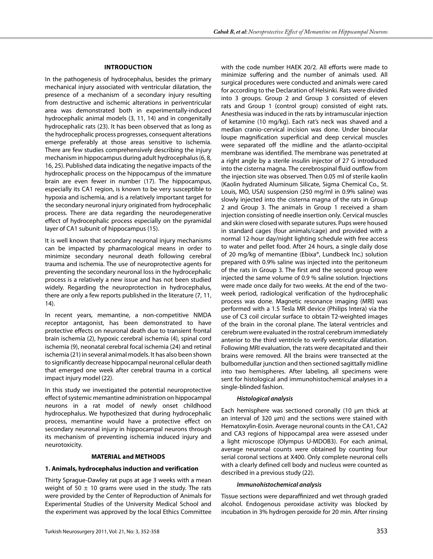## **IntroductIon**

In the pathogenesis of hydrocephalus, besides the primary mechanical injury associated with ventricular dilatation, the presence of a mechanism of a secondary injury resulting from destructive and ischemic alterations in periventricular area was demonstrated both in experimentally-induced hydrocephalic animal models (3, 11, 14) and in congenitally hydrocephalic rats (23). It has been observed that as long as the hydrocephalic process progresses, consequent alterations emerge preferably at those areas sensitive to ischemia. There are few studies comprehensively describing the injury mechanism in hippocampus during adult hydrocephalus (6, 8, 16, 25). Published data indicating the negative impacts of the hydrocephalic process on the hippocampus of the immature brain are even fewer in number (17). The hippocampus, especially its CA1 region, is known to be very susceptible to hypoxia and ischemia, and is a relatively important target for the secondary neuronal injury originated from hydrocephalic process. There are data regarding the neurodegenerative effect of hydrocephalic process especially on the pyramidal layer of CA1 subunit of hippocampus (15).

It is well known that secondary neuronal injury mechanisms can be impacted by pharmacological means in order to minimize secondary neuronal death following cerebral trauma and ischemia. The use of neuroprotective agents for preventing the secondary neuronal loss in the hydrocephalic process is a relatively a new issue and has not been studied widely. Regarding the neuroprotection in hydrocephalus, there are only a few reports published in the literature (7, 11, 14).

In recent years, memantine, a non-competitive NMDA receptor antagonist, has been demonstrated to have protective effects on neuronal death due to transient frontal brain ischemia (2), hypoxic cerebral ischemia (4), spinal cord ischemia (9), neonatal cerebral focal ischemia (24) and retinal ischemia (21) in several animal models. It has also been shown to significantly decrease hippocampal neuronal cellular death that emerged one week after cerebral trauma in a cortical impact injury model (22).

In this study we investigated the potential neuroprotective effect of systemic memantine administration on hippocampal neurons in a rat model of newly onset childhood hydrocephalus. We hypothesized that during hydrocephalic process, memantine would have a protective effect on secondary neuronal injury in hippocampal neurons through its mechanism of preventing ischemia induced injury and neurotoxicity.

## **MATERIAL and METHODS**

## **1. Animals, hydrocephalus induction and verification**

Thirty Sprague-Dawley rat pups at age 3 weeks with a mean weight of 50  $\pm$  10 grams were used in the study. The rats were provided by the Center of Reproduction of Animals for Experimental Studies of the University Medical School and the experiment was approved by the local Ethics Committee with the code number HAEK 20/2. All efforts were made to minimize suffering and the number of animals used. All surgical procedures were conducted and animals were cared for according to the Declaration of Helsinki. Rats were divided into 3 groups. Group 2 and Group 3 consisted of eleven rats and Group 1 (control group) consisted of eight rats. Anesthesia was induced in the rats by intramuscular injection of ketamine (10 mg/kg). Each rat's neck was shaved and a median cranio-cervical incision was done. Under binocular loupe magnification superficial and deep cervical muscles were separated off the midline and the atlanto-occipital membrane was identified. The membrane was penetrated at a right angle by a sterile insulin injector of 27 G introduced into the cisterna magna. The cerebrospinal fluid outflow from the injection site was observed. Then 0.05 ml of sterile kaolin (Kaolin hydrated Aluminum Silicate, Sigma Chemical Co., St. Louis, MO, USA) suspension (250 mg/ml in 0.9% saline) was slowly injected into the cisterna magna of the rats in Group 2 and Group 3. The animals in Group 1 received a sham injection consisting of needle insertion only. Cervical muscles and skin were closed with separate sutures. Pups were housed in standard cages (four animals/cage) and provided with a normal 12-hour day/night lighting schedule with free access to water and pellet food. After 24 hours, a single daily dose of 20 mg/kg of memantine (Ebixa®, Lundbeck Inc.) solution prepared with 0.9% saline was injected into the peritoneum of the rats in Group 3. The first and the second group were injected the same volume of 0.9 % saline solution. Injections were made once daily for two weeks. At the end of the twoweek period, radiological verification of the hydrocephalic process was done. Magnetic resonance imaging (MRI) was performed with a 1.5 Tesla MR device (Philips Intera) via the use of C3 coil circular surface to obtain T2-weighted images of the brain in the coronal plane. The lateral ventricles and cerebrum were evaluated in the rostral cerebrum immediately anterior to the third ventricle to verify ventricular dilatation. Following MRI evaluation, the rats were decapitated and their brains were removed. All the brains were transected at the bulbomedullar junction and then sectioned sagittally midline into two hemispheres. After labeling, all specimens were sent for histological and immunohistochemical analyses in a single-blinded fashion.

## *Histological analysis*

Each hemisphere was sectioned coronally (10 µm thick at an interval of 320 µm) and the sections were stained with Hematoxylin-Eosin. Average neuronal counts in the CA1, CA2 and CA3 regions of hippocampal area were assesed under a light microscope (Olympus U-MDOB3). For each animal, average neuronal counts were obtained by counting four serial coronal sections at X400. Only complete neuronal cells with a clearly defined cell body and nucleus were counted as described in a previous study (22).

## *Immunohistochemical analysis*

Tissue sections were deparaffinized and wet through graded alcohol. Endogenous peroxidase activity was blocked by incubation in 3% hydrogen peroxide for 20 min. After rinsing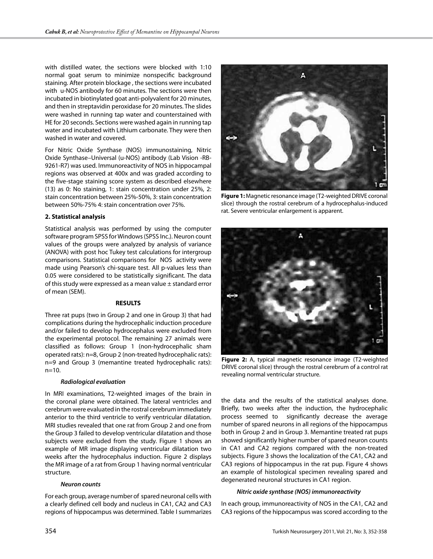with distilled water, the sections were blocked with 1:10 normal goat serum to minimize nonspecific background staining. After protein blockage , the sections were incubated with u-NOS antibody for 60 minutes. The sections were then incubated in biotinylated goat anti-polyvalent for 20 minutes, and then in streptavidin peroxidase for 20 minutes. The slides were washed in running tap water and counterstained with HE for 20 seconds. Sections were washed again in running tap water and incubated with Lithium carbonate. They were then washed in water and covered.

For Nitric Oxide Synthase (NOS) immunostaining, Nitric Oxide Synthase–Universal (u-NOS) antibody (Lab Vision -RB-9261-R7) was used. Immunoreactivity of NOS in hippocampal regions was observed at 400x and was graded according to the five-stage staining score system as described elsewhere (13) as 0: No staining, 1: stain concentration under 25%, 2: stain concentration between 25%-50%, 3: stain concentration between 50%-75% 4: stain concentration over 75%.

#### **2. Statistical analysis**

Statistical analysis was performed by using the computer software program SPSS for Windows (SPSS Inc.). Neuron count values of the groups were analyzed by analysis of variance (ANOVA) with post hoc Tukey test calculations for intergroup comparisons. Statistical comparisons for NOS activity were made using Pearson's chi-square test. All p-values less than 0.05 were considered to be statistically significant. The data of this study were expressed as a mean value  $\pm$  standard error of mean (SEM).

#### **RESULTS**

Three rat pups (two in Group 2 and one in Group 3) that had complications during the hydrocephalic induction procedure and/or failed to develop hydrocephalus were excluded from the experimental protocol. The remaining 27 animals were classified as follows: Group 1 (non-hydrocephalic sham operated rats): n=8, Group 2 (non-treated hydrocephalic rats): n=9 and Group 3 (memantine treated hydrocephalic rats): n=10.

### *Radiological evaluation*

In MRI examinations, T2-weighted images of the brain in the coronal plane were obtained. The lateral ventricles and cerebrum were evaluated in the rostral cerebrum immediately anterior to the third ventricle to verify ventricular dilatation. MRI studies revealed that one rat from Group 2 and one from the Group 3 failed to develop ventricular dilatation and those subjects were excluded from the study. Figure 1 shows an example of MR image displaying ventricular dilatation two weeks after the hydrocephalus induction. Figure 2 displays the MR image of a rat from Group 1 having normal ventricular structure.

#### *Neuron counts*

For each group, average number of spared neuronal cells with a clearly defined cell body and nucleus in CA1, CA2 and CA3 regions of hippocampus was determined. Table I summarizes



**Figure 1:** Magnetic resonance image (T2-weighted DRIVE coronal slice) through the rostral cerebrum of a hydrocephalus-induced rat. Severe ventricular enlargement is apparent.



**Figure 2:** A, typical magnetic resonance image (T2-weighted DRIVE coronal slice) through the rostral cerebrum of a control rat revealing normal ventricular structure.

the data and the results of the statistical analyses done. Briefly, two weeks after the induction, the hydrocephalic process seemed to significantly decrease the average number of spared neurons in all regions of the hippocampus both in Group 2 and in Group 3. Memantine treated rat pups showed significantly higher number of spared neuron counts in CA1 and CA2 regions compared with the non-treated subjects. Figure 3 shows the localization of the CA1, CA2 and CA3 regions of hippocampus in the rat pup. Figure 4 shows an example of histological specimen revealing spared and degenerated neuronal structures in CA1 region.

#### *Nitric oxide synthase (NOS) immunoreactivity*

In each group, immunoreactivity of NOS in the CA1, CA2 and CA3 regions of the hippocampus was scored according to the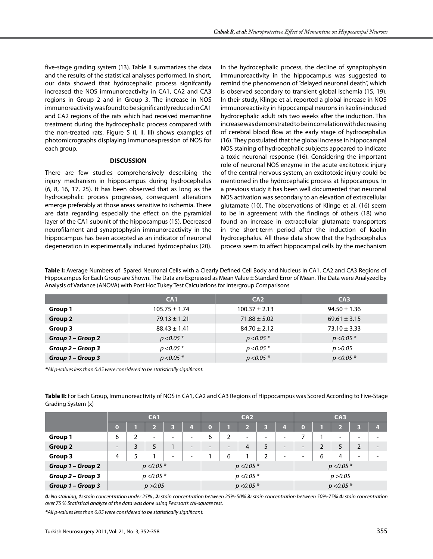five-stage grading system (13). Table II summarizes the data and the results of the statistical analyses performed. In short, our data showed that hydrocephalic process signifcantly increased the NOS immunoreactivity in CA1, CA2 and CA3 regions in Group 2 and in Group 3. The increase in NOS immunoreactivity was found to be significantly reduced in CA1 and CA2 regions of the rats which had received memantine treatment during the hydrocephalic process compared with the non-treated rats. Figure 5 (I, II, III) shows examples of photomicrographs displaying immunoexpression of NOS for each group.

#### **DISCUSSION**

There are few studies comprehensively describing the injury mechanism in hippocampus during hydrocephalus (6, 8, 16, 17, 25). It has been observed that as long as the hydrocephalic process progresses, consequent alterations emerge preferably at those areas sensitive to ischemia. There are data regarding especially the effect on the pyramidal layer of the CA1 subunit of the hippocampus (15). Decreased neurofilament and synaptophysin immunoreactivity in the hippocampus has been accepted as an indicator of neuronal degeneration in experimentally induced hydrocephalus (20). In the hydrocephalic process, the decline of synaptophysin immunoreactivity in the hippocampus was suggested to remind the phenomenon of "delayed neuronal death", which is observed secondary to transient global ischemia (15, 19). In their study, Klinge et al. reported a global increase in NOS immunoreactivity in hippocampal neurons in kaolin-induced hydrocephalic adult rats two weeks after the induction. This increase was demonstrated to be in correlation with decreasing of cerebral blood flow at the early stage of hydrocephalus (16). They postulated that the global increase in hippocampal NOS staining of hydrocephalic subjects appeared to indicate a toxic neuronal response (16). Considering the important role of neuronal NOS enzyme in the acute excitotoxic injury of the central nervous system, an excitotoxic injury could be mentioned in the hydrocephalic process at hippocampus. In a previous study it has been well documented that neuronal NOS activation was secondary to an elevation of extracellular glutamate (10). The observations of Klinge et al. (16) seem to be in agreement with the findings of others (18) who found an increase in extracellular glutamate transporters in the short-term period after the induction of kaolin hydrocephalus. All these data show that the hydrocephalus process seem to affect hippocampal cells by the mechanism

**Table I:** Average Numbers of Spared Neuronal Cells with a Clearly Defined Cell Body and Nucleus in CA1, CA2 and CA3 Regions of Hippocampus for Each Group are Shown. The Data are Expressed as Mean Value ± Standard Error of Mean. The Data were Analyzed by Analysis of Variance (ANOVA) with Post Hoc Tukey Test Calculations for Intergroup Comparisons

|                   | CA <sub>1</sub>   | CA2               | CA <sub>3</sub>  |
|-------------------|-------------------|-------------------|------------------|
| Group 1           | $105.75 \pm 1.74$ | $100.37 \pm 2.13$ | $94.50 \pm 1.36$ |
| Group 2           | $79.13 \pm 1.21$  | $71.88 \pm 5.02$  | $69.61 \pm 3.15$ |
| Group 3           | $88.43 \pm 1.41$  | $84.70 \pm 2.12$  | $73.10 \pm 3.33$ |
| Group 1 – Group 2 | $p < 0.05$ *      | $p < 0.05*$       | $p < 0.05*$      |
| Group 2 – Group 3 | $p < 0.05*$       | $p < 0.05*$       | p > 0.05         |
| Group 1 – Group 3 | $p < 0.05*$       | $p < 0.05*$       | $p < 0.05*$      |

*\*All p-values less than 0.05 were considered to be statistically significant.*

**Table II:** For Each Group, Immunoreactivity of NOS in CA1, CA2 and CA3 Regions of Hippocampus was Scored According to Five-Stage Grading System (x)

|                   | CA1                      |   |   |                          | CA2                      |                          |                          |                          |                          | C <sub>A3</sub>          |                          |                |                          |                          |   |
|-------------------|--------------------------|---|---|--------------------------|--------------------------|--------------------------|--------------------------|--------------------------|--------------------------|--------------------------|--------------------------|----------------|--------------------------|--------------------------|---|
|                   | 0                        |   |   |                          |                          | O                        |                          | 51<br>74                 | 3                        | 4                        | $\left( 0 \right)$       |                | ь                        | ь                        | 4 |
| Group 1           | 6                        |   | ۰ | $\overline{\phantom{0}}$ | $\overline{\phantom{0}}$ | 6                        | 2                        | $\overline{\phantom{a}}$ | $\overline{\phantom{0}}$ | ۰                        |                          |                | $\overline{\phantom{a}}$ | $\overline{\phantom{0}}$ | - |
| <b>Group 2</b>    | $\overline{\phantom{a}}$ | 3 | 5 |                          | $\overline{\phantom{0}}$ | $\overline{\phantom{0}}$ | $\overline{\phantom{0}}$ | 4                        | 5                        | $\overline{\phantom{0}}$ | $\overline{\phantom{0}}$ | $\overline{2}$ | 5                        | $\overline{2}$           | - |
| Group 3           | 4                        |   |   | ۰                        | ۰                        |                          | 6                        |                          | $\mathcal{D}$            | ۰                        | ۰                        | 6              | 4                        | $\overline{\phantom{a}}$ | - |
| Group 1 - Group 2 | $p < 0.05*$              |   |   |                          | $p < 0.05*$              |                          |                          |                          | $p < 0.05*$              |                          |                          |                |                          |                          |   |
| Group 2 - Group 3 | $p < 0.05*$              |   |   |                          |                          | $p < 0.05*$              |                          |                          |                          | p > 0.05                 |                          |                |                          |                          |   |
| Group 1 - Group 3 | p > 0.05                 |   |   |                          |                          | $p < 0.05*$              |                          |                          | $p < 0.05*$              |                          |                          |                |                          |                          |   |

*0: No staining, 1: stain concentration under 25% , 2: stain concentration between 25%-50% 3: stain concentration between 50%-75% 4: stain concentration over 75 % Statistical analyze of the data was done using Pearson's chi-square test.*

*\*All p-values less than 0.05 were considered to be statistically significant.*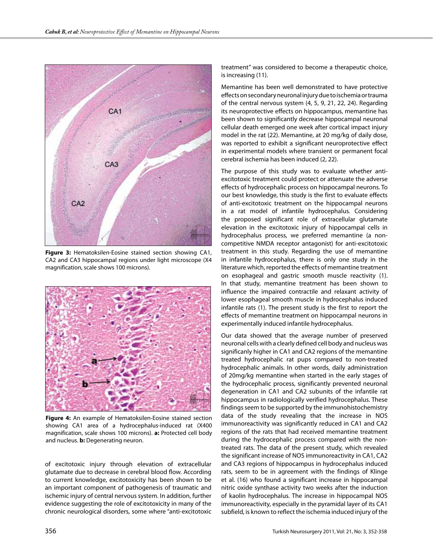

**Figure 3:** Hematoksilen-Eosine stained section showing CA1, CA2 and CA3 hippocampal regions under light microscope (X4 magnification, scale shows 100 microns).



**Figure 4:** An example of Hematoksilen-Eosine stained section showing CA1 area of a hydrocephalus-induced rat (X400 magnification, scale shows 100 microns). **a:** Protected cell body and nucleus. **b:** Degenerating neuron.

of excitotoxic injury through elevation of extracellular glutamate due to decrease in cerebral blood flow. According to current knowledge, excitotoxicity has been shown to be an important component of pathogenesis of traumatic and ischemic injury of central nervous system. In addition, further evidence suggesting the role of excitotoxicity in many of the chronic neurological disorders, some where "anti-excitotoxic treatment" was considered to become a therapeutic choice, is increasing (11).

Memantine has been well demonstrated to have protective effects on secondary neuronal injury due to ischemia or trauma of the central nervous system (4, 5, 9, 21, 22, 24). Regarding its neuroprotective effects on hippocampus, memantine has been shown to significantly decrease hippocampal neuronal cellular death emerged one week after cortical impact injury model in the rat (22). Memantine, at 20 mg/kg of daily dose, was reported to exhibit a significant neuroprotective effect in experimental models where transient or permanent focal cerebral ischemia has been induced (2, 22).

The purpose of this study was to evaluate whether antiexcitotoxic treatment could protect or attenuate the adverse effects of hydrocephalic process on hippocampal neurons. To our best knowledge, this study is the first to evaluate effects of anti-excitotoxic treatment on the hippocampal neurons in a rat model of infantile hydrocephalus. Considering the proposed significant role of extracellular glutamate elevation in the excitotoxic injury of hippocampal cells in hydrocephalus process, we preferred memantine (a noncompetitive NMDA receptor antagonist) for anti-excitotoxic treatment in this study. Regarding the use of memantine in infantile hydrocephalus, there is only one study in the literature which, reported the effects of memantine treatment on esophageal and gastric smooth muscle reactivity (1). In that study, memantine treatment has been shown to influence the impaired contractile and relaxant activity of lower esophageal smooth muscle in hydrocephalus induced infantile rats (1). The present study is the first to report the effects of memantine treatment on hippocampal neurons in experimentally induced infantile hydrocephalus.

Our data showed that the average number of preserved neuronal cells with a clearly defined cell body and nucleus was significanly higher in CA1 and CA2 regions of the memantine treated hydrocephalic rat pups compared to non-treated hydrocephalic animals. In other words, daily administration of 20mg/kg memantine when started in the early stages of the hydrocephalic process, significantly prevented neuronal degeneration in CA1 and CA2 subunits of the infantile rat hippocampus in radiologically verified hydrocephalus. These findings seem to be supported by the immunohistochemistry data of the study revealing that the increase in NOS immunoreactivity was significantly reduced in CA1 and CA2 regions of the rats that had received memantine treatment during the hydrocephalic process compared with the nontreated rats. The data of the present study, which revealed the significant increase of NOS immunoreactivity in CA1, CA2 and CA3 regions of hippocampus in hydrocephalus induced rats, seem to be in agreement with the findings of Klinge et al. (16) who found a significant increase in hippocampal nitric oxide synthase activity two weeks after the induction of kaolin hydrocephalus. The increase in hippocampal NOS immunoreactivity, especially in the pyramidal layer of its CA1 subfield, is known to reflect the ischemia induced injury of the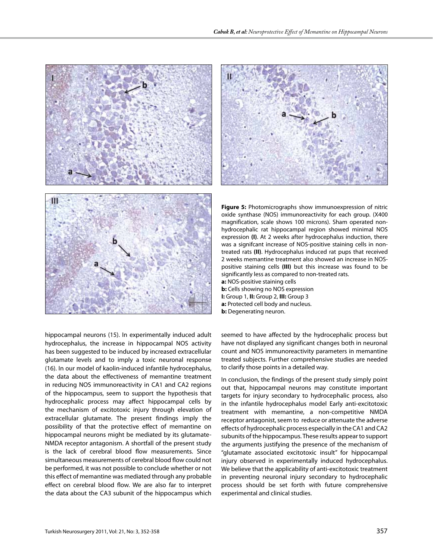

hippocampal neurons (15). In experimentally induced adult hydrocephalus, the increase in hippocampal NOS activity has been suggested to be induced by increased extracellular glutamate levels and to imply a toxic neuronal response (16). In our model of kaolin-induced infantile hydrocephalus, the data about the effectiveness of memantine treatment in reducing NOS immunoreactivity in CA1 and CA2 regions of the hippocampus, seem to support the hypothesis that hydrocephalic process may affect hippocampal cells by the mechanism of excitotoxic injury through elevation of extracellular glutamate. The present findings imply the possibility of that the protective effect of memantine on hippocampal neurons might be mediated by its glutamate-NMDA receptor antagonism. A shortfall of the present study is the lack of cerebral blood flow measurements. Since simultaneous measurements of cerebral blood flow could not be performed, it was not possible to conclude whether or not this effect of memantine was mediated through any probable effect on cerebral blood flow. We are also far to interpret the data about the CA3 subunit of the hippocampus which



**Figure 5:** Photomicrographs show immunoexpression of nitric oxide synthase (NOS) immunoreactivity for each group. (X400 magnification, scale shows 100 microns). Sham operated nonhydrocephalic rat hippocampal region showed minimal NOS expression **(I)**. At 2 weeks after hydrocephalus induction, there was a signifcant increase of NOS-positive staining cells in nontreated rats **(II)**. Hydrocephalus induced rat pups that received 2 weeks memantine treatment also showed an increase in NOSpositive staining cells **(III)** but this increase was found to be significantly less as compared to non-treated rats.

- **a:** NOS-positive staining cells **b:** Cells showing no NOS expression
- **I:** Group 1, **II:** Group 2, **III:** Group 3
- **a:** Protected cell body and nucleus.
- **b:** Degenerating neuron.

seemed to have affected by the hydrocephalic process but have not displayed any significant changes both in neuronal count and NOS immunoreactivity parameters in memantine treated subjects. Further comprehensive studies are needed to clarify those points in a detailed way.

In conclusion, the findings of the present study simply point out that, hippocampal neurons may constitute important targets for injury secondary to hydrocephalic process, also in the infantile hydrocephalus model Early anti-excitotoxic treatment with memantine, a non-competitive NMDA receptor antagonist, seem to reduce or attenuate the adverse effects of hydrocephalic process especially in the CA1 and CA2 subunits of the hippocampus. These results appear to support the arguments justifying the presence of the mechanism of "glutamate associated excitotoxic insult" for hippocampal injury observed in experimentally induced hydrocephalus. We believe that the applicability of anti-excitotoxic treatment in preventing neuronal injury secondary to hydrocephalic process should be set forth with future comprehensive experimental and clinical studies.